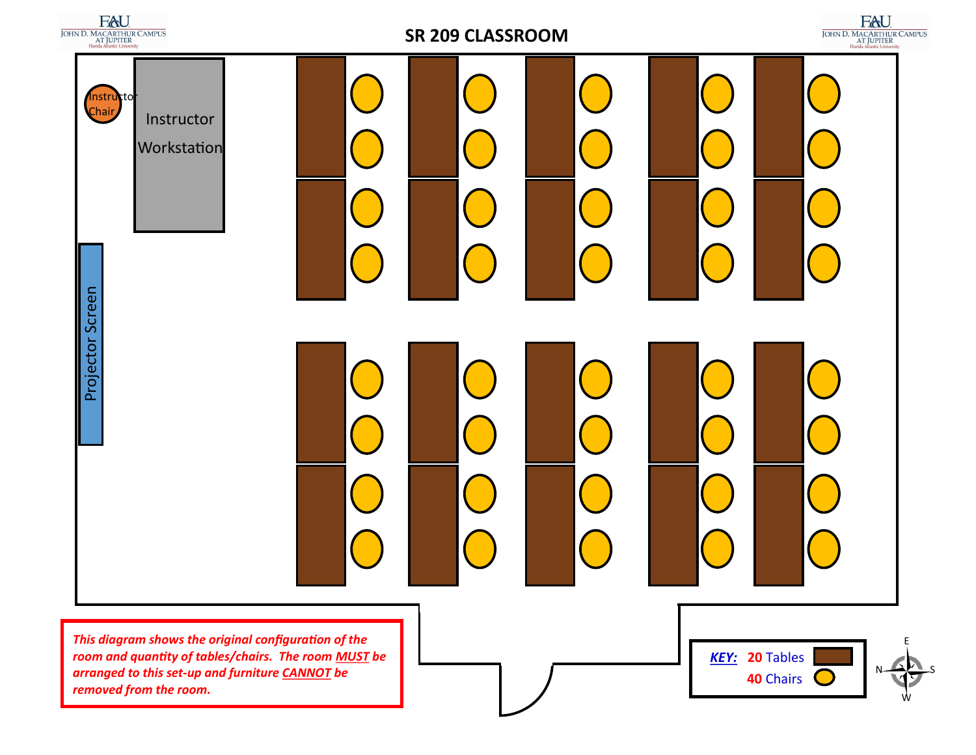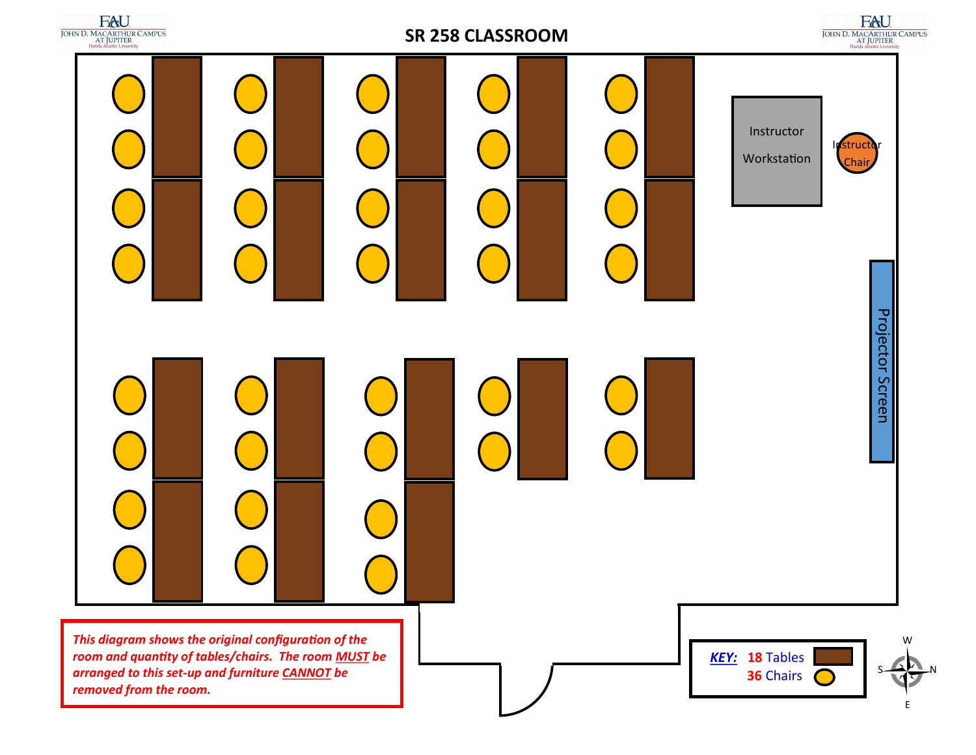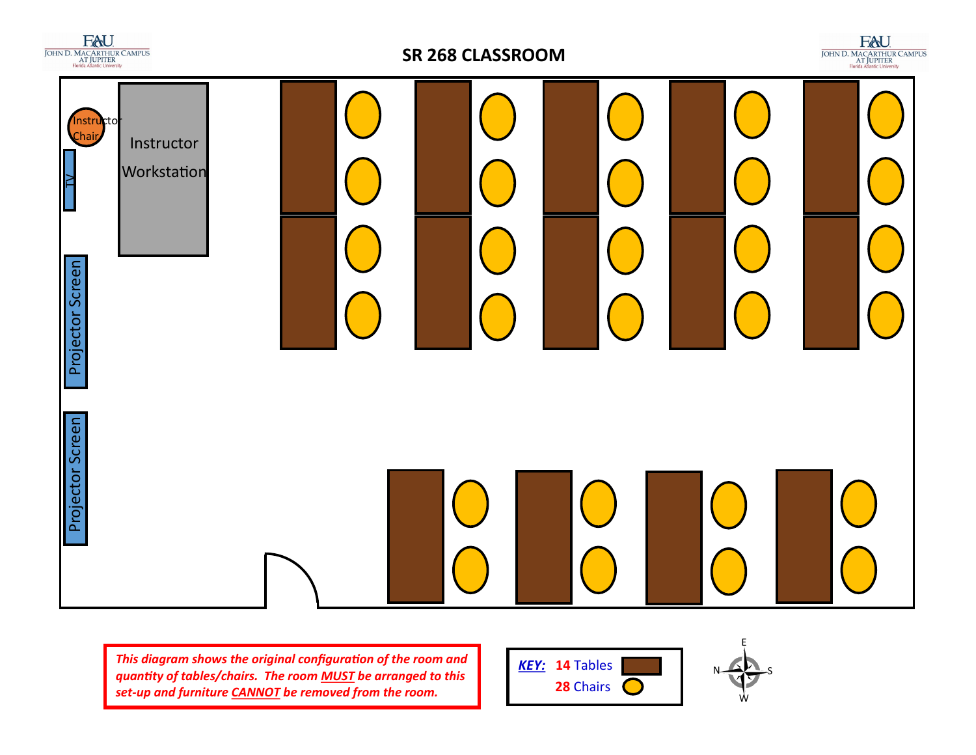

## **SR 268 CLASSROOM**







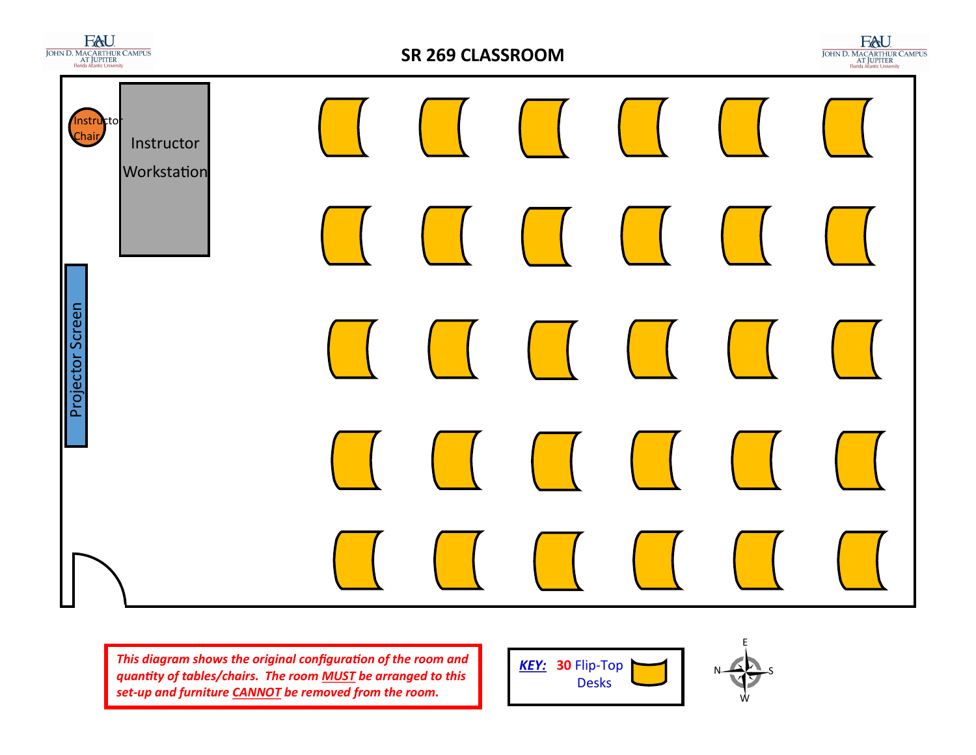



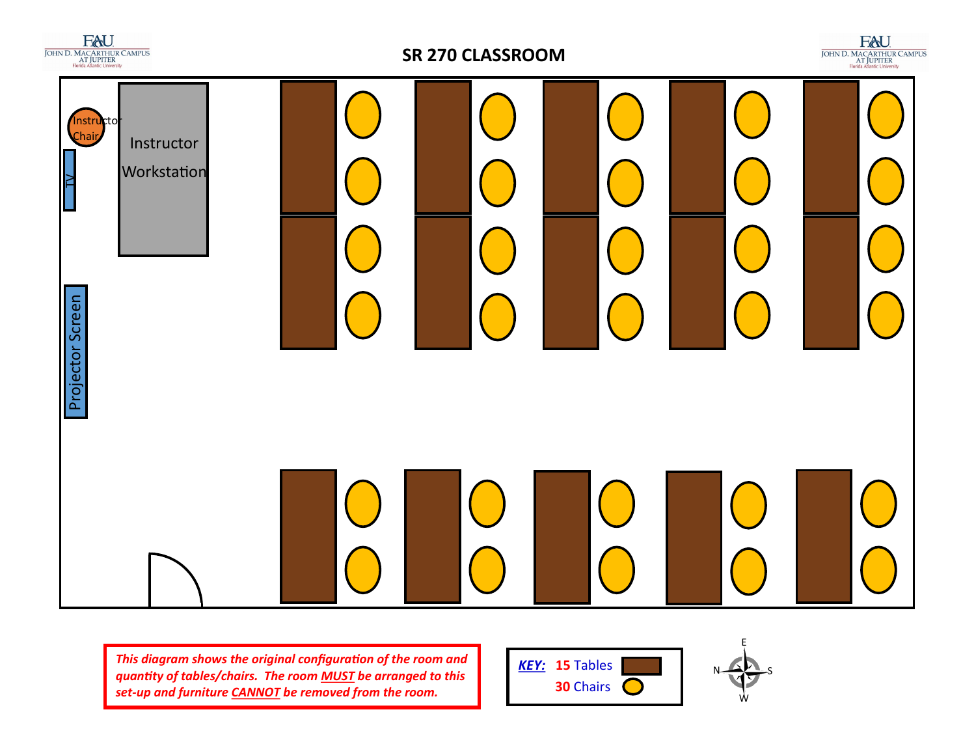

## **SR 270 CLASSROOM**







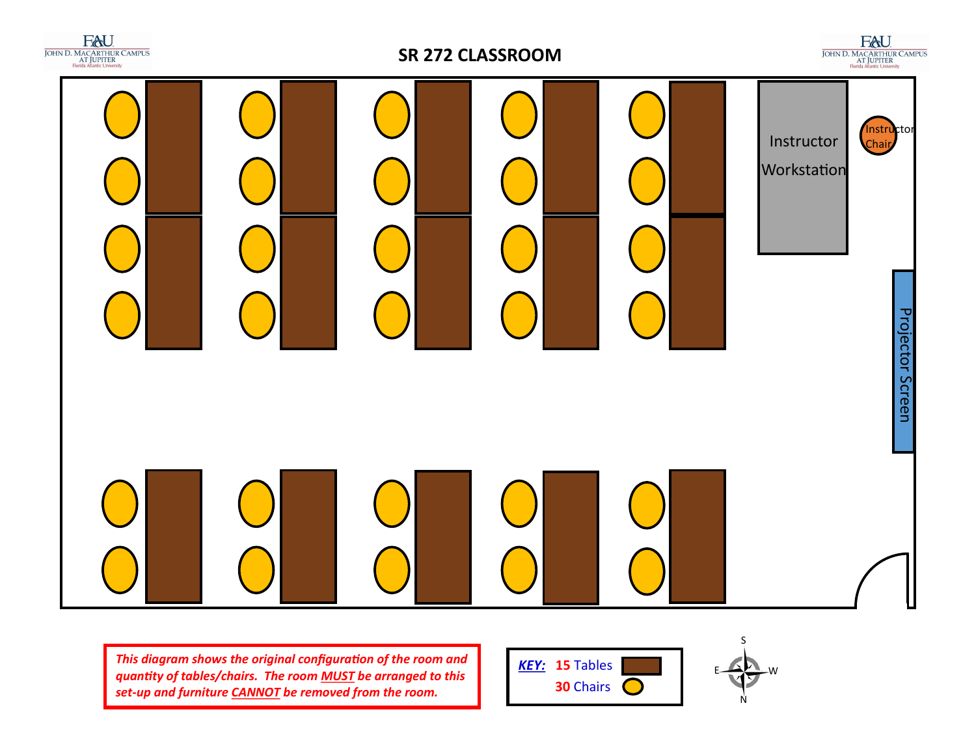

## **SR 272 CLASSROOM**

 $\underset{\substack{\text{JOHN D. MACRFHIUR CAMPUS} \\ \text{A/J JUPITER} \\ \text{Florida Atlantic University} }}{\underset{\text{Horda Atlantic University} \\ \text{A}}}{\underset{\text{H}}{\underset{\text{R}}{\sum}}}{\underset{\text{A/J}}{\sum}}$ Instructor Instructor **Workstation Projector Screen** Projector Screen



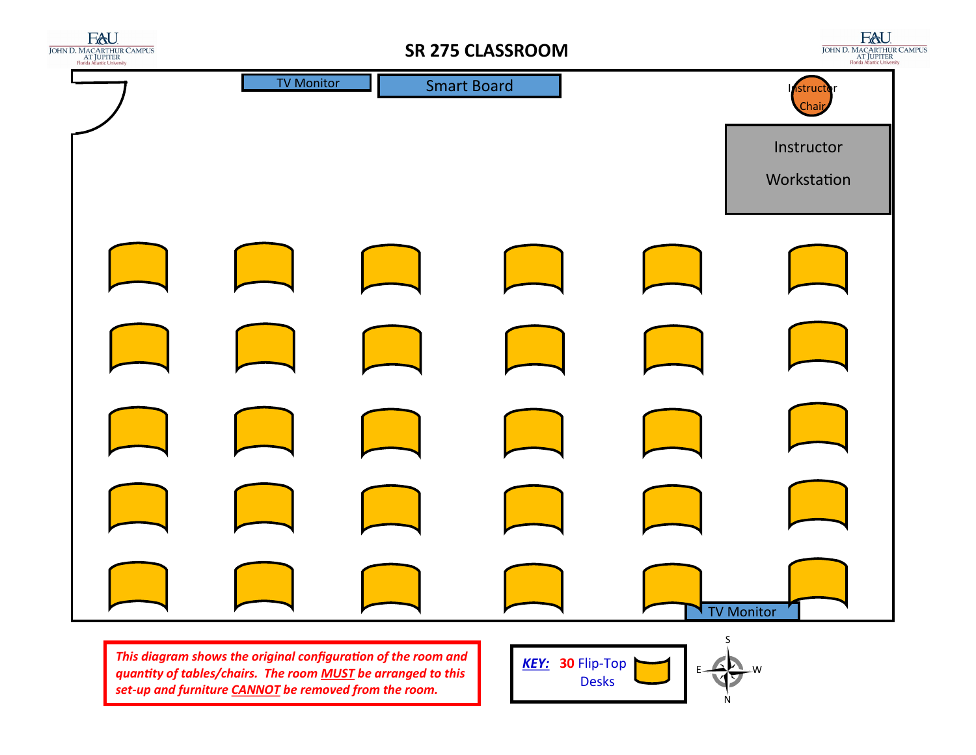

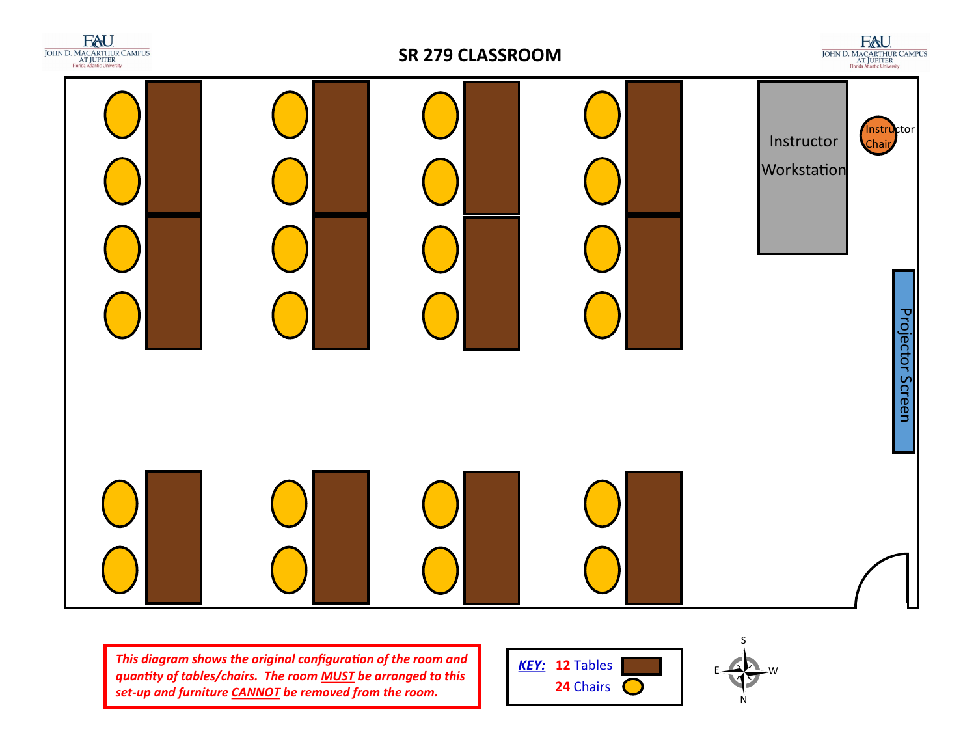

## **SR 279 CLASSROOM**

 $\underset{\substack{\text{JOHN D. MACRFHIUR CAMPUS} \\ \text{A/J JUPITER} \\ \text{Florida Atlantic University} }}{\underset{\text{Horda Atlantic University} \\ \text{A}}}{\underset{\text{H}}{\underset{\text{R}}{\sum}}}{\underset{\text{A/J}}{\sum}}$ 





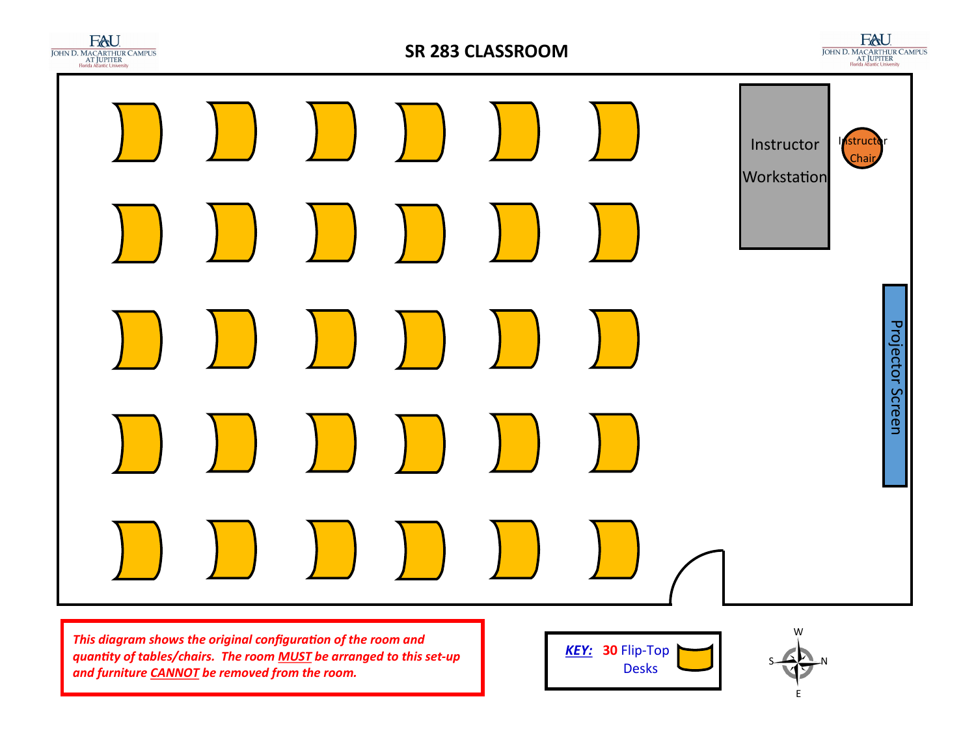